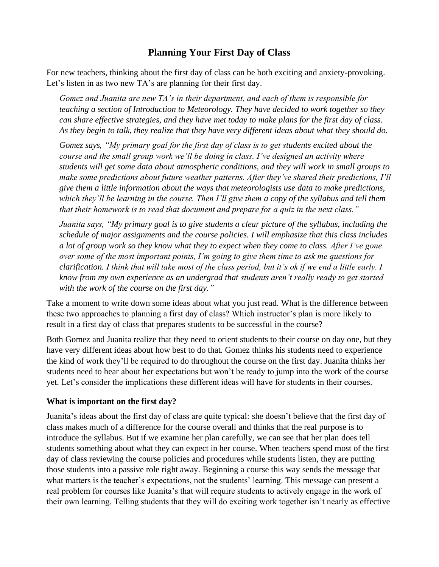## **[Planning](http://itlal.org/index.php?q=node/37) Your First Day of Class**

For new teachers, thinking about the first day of class can be both exciting and anxiety-provoking. Let's listen in as two new TA's are planning for their first day.

*Gomez and Juanita are new TA's in their department, and each of them is responsible for teaching a section of Introduction to Meteorology. They have decided to work together so they can share effective strategies, and they have met today to make plans for the first day of class. As they begin to talk, they realize that they have very different ideas about what they should do.*

*Gomez says, "My primary goal for the first day of class is to get students excited about the course and the small group work we'll be doing in class. I've designed an activity where students will get some data about atmospheric conditions, and they will work in small groups to make some predictions about future weather patterns. After they've shared their predictions, I'll give them a little information about the ways that meteorologists use data to make predictions, which they'll be learning in the course. Then I'll give them a copy of the syllabus and tell them that their homework is to read that document and prepare for a quiz in the next class."*

*Juanita says, "My primary goal is to give students a clear picture of the syllabus, including the schedule of major assignments and the course policies. I will emphasize that this class includes a lot of group work so they know what they to expect when they come to class. After I've gone over some of the most important points, I'm going to give them time to ask me questions for clarification. I think that will take most of the class period, but it's ok if we end a little early. I know from my own experience as an undergrad that students aren't really ready to get started with the work of the course on the first day."*

Take a moment to write down some ideas about what you just read. What is the difference between these two approaches to planning a first day of class? Which instructor's plan is more likely to result in a first day of class that prepares students to be successful in the course?

Both Gomez and Juanita realize that they need to orient students to their course on day one, but they have very different ideas about how best to do that. Gomez thinks his students need to experience the kind of work they'll be required to do throughout the course on the first day. Juanita thinks her students need to hear about her expectations but won't be ready to jump into the work of the course yet. Let's consider the implications these different ideas will have for students in their courses.

#### **What is important on the first day?**

Juanita's ideas about the first day of class are quite typical: she doesn't believe that the first day of class makes much of a difference for the course overall and thinks that the real purpose is to introduce the syllabus. But if we examine her plan carefully, we can see that her plan does tell students something about what they can expect in her course. When teachers spend most of the first day of class reviewing the course policies and procedures while students listen, they are putting those students into a passive role right away. Beginning a course this way sends the message that what matters is the teacher's expectations, not the students' learning. This message can present a real problem for courses like Juanita's that will require students to actively engage in the work of their own learning. Telling students that they will do exciting work together isn't nearly as effective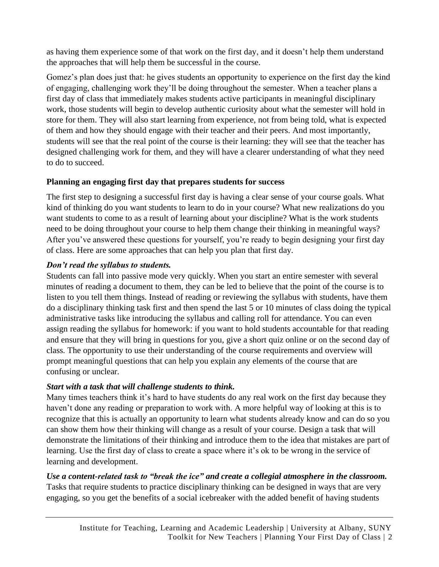as having them experience some of that work on the first day, and it doesn't help them understand the approaches that will help them be successful in the course.

Gomez's plan does just that: he gives students an opportunity to experience on the first day the kind of engaging, challenging work they'll be doing throughout the semester. When a teacher plans a first day of class that immediately makes students active participants in meaningful disciplinary work, those students will begin to develop authentic curiosity about what the semester will hold in store for them. They will also start learning from experience, not from being told, what is expected of them and how they should engage with their teacher and their peers. And most importantly, students will see that the real point of the course is their learning: they will see that the teacher has designed challenging work for them, and they will have a clearer understanding of what they need to do to succeed.

### **Planning an engaging first day that prepares students for success**

The first step to designing a successful first day is having a clear sense of your course goals. What kind of thinking do you want students to learn to do in your course? What new realizations do you want students to come to as a result of learning about your discipline? What is the work students need to be doing throughout your course to help them change their thinking in meaningful ways? After you've answered these questions for yourself, you're ready to begin designing your first day of class. Here are some approaches that can help you plan that first day.

### *Don't read the syllabus to students.*

Students can fall into passive mode very quickly. When you start an entire semester with several minutes of reading a document to them, they can be led to believe that the point of the course is to listen to you tell them things. Instead of reading or reviewing the syllabus with students, have them do a disciplinary thinking task first and then spend the last 5 or 10 minutes of class doing the typical administrative tasks like introducing the syllabus and calling roll for attendance. You can even assign reading the syllabus for homework: if you want to hold students accountable for that reading and ensure that they will bring in questions for you, give a short quiz online or on the second day of class. The opportunity to use their understanding of the course requirements and overview will prompt meaningful questions that can help you explain any elements of the course that are confusing or unclear.

#### *Start with a task that will challenge students to think.*

Many times teachers think it's hard to have students do any real work on the first day because they haven't done any reading or preparation to work with. A more helpful way of looking at this is to recognize that this is actually an opportunity to learn what students already know and can do so you can show them how their thinking will change as a result of your course. Design a task that will demonstrate the limitations of their thinking and introduce them to the idea that mistakes are part of learning. Use the first day of class to create a space where it's ok to be wrong in the service of learning and development.

## *Use a content-related task to "break the ice" and create a collegial atmosphere in the classroom.*

Tasks that require students to practice disciplinary thinking can be designed in ways that are very engaging, so you get the benefits of a social icebreaker with the added benefit of having students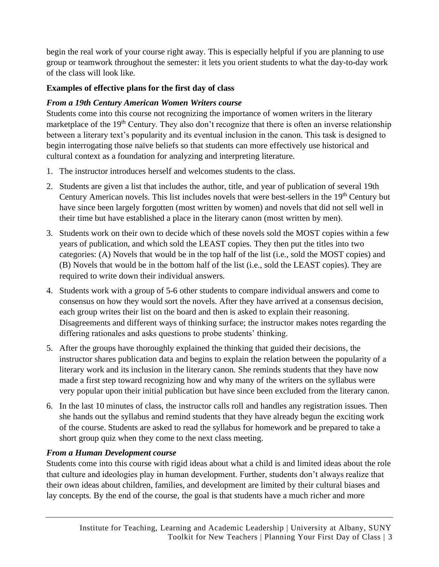begin the real work of your course right away. This is especially helpful if you are planning to use group or teamwork throughout the semester: it lets you orient students to what the day-to-day work of the class will look like.

## **Examples of effective plans for the first day of class**

# *From a 19th Century American Women Writers course*

Students come into this course not recognizing the importance of women writers in the literary marketplace of the 19<sup>th</sup> Century. They also don't recognize that there is often an inverse relationship between a literary text's popularity and its eventual inclusion in the canon. This task is designed to begin interrogating those naïve beliefs so that students can more effectively use historical and cultural context as a foundation for analyzing and interpreting literature.

- 1. The instructor introduces herself and welcomes students to the class.
- 2. Students are given a list that includes the author, title, and year of publication of several 19th Century American novels. This list includes novels that were best-sellers in the 19<sup>th</sup> Century but have since been largely forgotten (most written by women) and novels that did not sell well in their time but have established a place in the literary canon (most written by men).
- 3. Students work on their own to decide which of these novels sold the MOST copies within a few years of publication, and which sold the LEAST copies. They then put the titles into two categories: (A) Novels that would be in the top half of the list (i.e., sold the MOST copies) and (B) Novels that would be in the bottom half of the list (i.e., sold the LEAST copies). They are required to write down their individual answers.
- 4. Students work with a group of 5-6 other students to compare individual answers and come to consensus on how they would sort the novels. After they have arrived at a consensus decision, each group writes their list on the board and then is asked to explain their reasoning. Disagreements and different ways of thinking surface; the instructor makes notes regarding the differing rationales and asks questions to probe students' thinking.
- 5. After the groups have thoroughly explained the thinking that guided their decisions, the instructor shares publication data and begins to explain the relation between the popularity of a literary work and its inclusion in the literary canon. She reminds students that they have now made a first step toward recognizing how and why many of the writers on the syllabus were very popular upon their initial publication but have since been excluded from the literary canon.
- 6. In the last 10 minutes of class, the instructor calls roll and handles any registration issues. Then she hands out the syllabus and remind students that they have already begun the exciting work of the course. Students are asked to read the syllabus for homework and be prepared to take a short group quiz when they come to the next class meeting.

# *From a Human Development course*

Students come into this course with rigid ideas about what a child is and limited ideas about the role that culture and ideologies play in human development. Further, students don't always realize that their own ideas about children, families, and development are limited by their cultural biases and lay concepts. By the end of the course, the goal is that students have a much richer and more